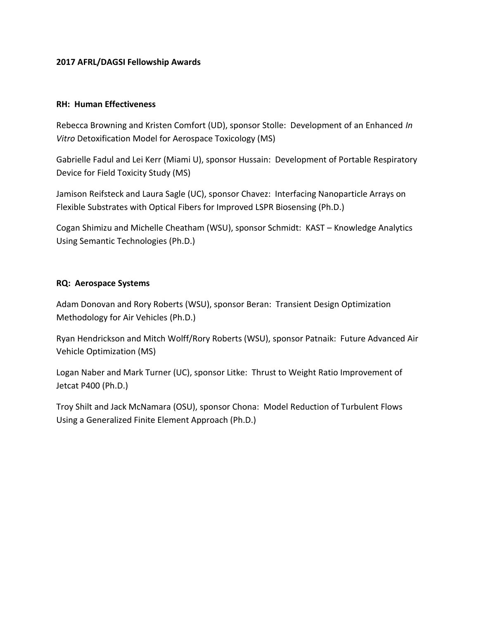## **2017 AFRL/DAGSI Fellowship Awards**

#### **RH: Human Effectiveness**

Rebecca Browning and Kristen Comfort (UD), sponsor Stolle: Development of an Enhanced *In Vitro* Detoxification Model for Aerospace Toxicology (MS)

Gabrielle Fadul and Lei Kerr (Miami U), sponsor Hussain: Development of Portable Respiratory Device for Field Toxicity Study (MS)

Jamison Reifsteck and Laura Sagle (UC), sponsor Chavez: Interfacing Nanoparticle Arrays on Flexible Substrates with Optical Fibers for Improved LSPR Biosensing (Ph.D.)

Cogan Shimizu and Michelle Cheatham (WSU), sponsor Schmidt: KAST – Knowledge Analytics Using Semantic Technologies (Ph.D.)

## **RQ: Aerospace Systems**

Adam Donovan and Rory Roberts (WSU), sponsor Beran: Transient Design Optimization Methodology for Air Vehicles (Ph.D.)

Ryan Hendrickson and Mitch Wolff/Rory Roberts (WSU), sponsor Patnaik: Future Advanced Air Vehicle Optimization (MS)

Logan Naber and Mark Turner (UC), sponsor Litke: Thrust to Weight Ratio Improvement of Jetcat P400 (Ph.D.)

Troy Shilt and Jack McNamara (OSU), sponsor Chona: Model Reduction of Turbulent Flows Using a Generalized Finite Element Approach (Ph.D.)